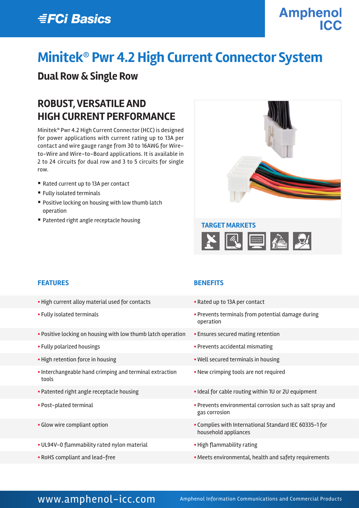## **EFCi Basics**

# **Amphenol**

# **Minitek® Pwr 4.2 High Current Connector System**

### **Dual Row & Single Row**

### **ROBUST, VERSATILE AND HIGH CURRENT PERFORMANCE**

Minitek® Pwr 4.2 High Current Connector (HCC) is designed for power applications with current rating up to 13A per contact and wire gauge range from 30 to 16AWG for Wireto-Wire and Wire-to-Board applications. It is available in 2 to 24 circuits for dual row and 3 to 5 circuits for single row.

- Rated current up to 13A per contact
- Fully isolated terminals
- Positive locking on housing with low thumb latch operation
- Patented right angle receptacle housing



#### **FEATURES BENEFITS**

- High current alloy material used for contacts Rated up to 13A per contact
- 
- **Positive locking on housing with low thumb latch operation Ensures secured mating retention**
- 
- 
- § Interchangeable hand crimping and terminal extraction tools
- 
- 
- 
- § UL94V-0 flammability rated nylon material § High flammability rating
- 

- 
- § Fully isolated terminals § Prevents terminals from potential damage during operation
	-
- § Fully polarized housings § Prevents accidental mismating
- High retention force in housing **Exercise 2018** Well secured terminals in housing
	- **New crimping tools are not required**
- Patented right angle receptacle housing **Example 20 Ideal for cable routing within 1U or 2U equipment**
- § Post-plated terminal § Prevents environmental corrosion such as salt spray and gas corrosion
- § Glow wire compliant option § Complies with International Standard IEC 60335-1 for household appliances
	-
- RoHS compliant and lead-free **Exercise 2008** Meets environmental, health and safety requirements

### WWW.amphenol-icc.com Amphenol Information Communications and Commercial Products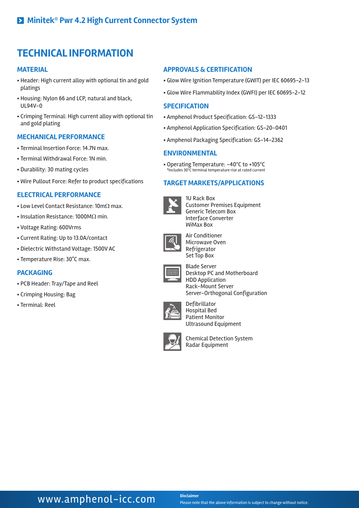### **TECHNICAL INFORMATION**

#### **MATERIAL**

- § Header: High current alloy with optional tin and gold platings
- § Housing: Nylon 66 and LCP, natural and black, UL94V-0
- § Crimping Terminal: High current alloy with optional tin and gold plating

#### **MECHANICAL PERFORMANCE**

- § Terminal Insertion Force: 14.7N max.
- § Terminal Withdrawal Force: 1N min.
- § Durability: 30 mating cycles
- § Wire Pullout Force: Refer to product specifications

#### **ELECTRICAL PERFORMANCE**

- Low Level Contact Resistance: 10mΩ max.
- § Insulation Resistance: 1000MΩ min.
- § Voltage Rating: 600Vrms
- § Current Rating: Up to 13.0A/contact
- § Dielectric Withstand Voltage: 1500V AC
- § Temperature Rise: 30°C max.

#### **PACKAGING**

- § PCB Header: Tray/Tape and Reel
- § Crimping Housing: Bag
- § Terminal: Reel

#### **APPROVALS & CERTIFICATION**

- § Glow Wire Ignition Temperature (GWIT) per IEC 60695-2-13
- § Glow Wire Flammability Index (GWFI) per IEC 60695-2-12

#### **SPECIFICATION**

- § Amphenol Product Specification: GS-12-1333
- § Amphenol Application Specification: GS-20-0401
- § Amphenol Packaging Specification: GS-14-2362

#### **ENVIRONMENTAL**

§ Operating Temperature: -40ºC to +105ºC \*Includes 30ºC terminal temperature rise at rated current

#### **TARGET MARKETS/APPLICATIONS**



1U Rack Box Customer Premises Equipment Generic Telecom Box Interface Converter WiMax Box



Air Conditioner Microwave Oven Refrigerator Set Top Box



Blade Server Desktop PC and Motherboard HDD Application Rack-Mount Server Server-Orthogonal Configuration



Defibrillator Hospital Bed Patient Monitor Ultrasound Equipment



Chemical Detection System Radar Equipment

### **WWW.amphenol-icc.com** Disclaimer

Please note that the above information is subject to change without notice.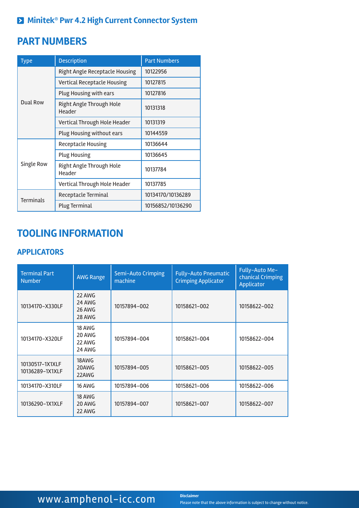### **Minitek® Pwr 4.2 High Current Connector System**

### **PART NUMBERS**

| <b>Type</b>      | <b>Description</b>                 | <b>Part Numbers</b> |  |
|------------------|------------------------------------|---------------------|--|
| Dual Row         | Right Angle Receptacle Housing     | 10122956            |  |
|                  | Vertical Receptacle Housing        | 10127815            |  |
|                  | Plug Housing with ears             | 10127816            |  |
|                  | Right Angle Through Hole<br>Header | 10131318            |  |
|                  | Vertical Through Hole Header       | 10131319            |  |
|                  | Plug Housing without ears          | 10144559            |  |
| Single Row       | Receptacle Housing                 | 10136644            |  |
|                  | <b>Plug Housing</b>                | 10136645            |  |
|                  | Right Angle Through Hole<br>Header | 10137784            |  |
|                  | Vertical Through Hole Header       | 10137785            |  |
| <b>Terminals</b> | Receptacle Terminal                | 10134170/10136289   |  |
|                  | Plug Terminal                      | 10156852/10136290   |  |

### **TOOLING INFORMATION**

### **APPLICATORS**

| <b>Terminal Part</b><br><b>Number</b> | <b>AWG Range</b>                            | Semi-Auto Crimping<br>machine | <b>Fully-Auto Pneumatic</b><br><b>Crimping Applicator</b> | Fully-Auto Me-<br>chanical Crimping<br>Applicator |
|---------------------------------------|---------------------------------------------|-------------------------------|-----------------------------------------------------------|---------------------------------------------------|
| 10134170-X330LF                       | 22 AWG<br>24 AWG<br>26 AWG<br>28 AWG        | 10157894-002                  | 10158621-002                                              | 10158622-002                                      |
| 10134170-X320LF                       | <b>18 AWG</b><br>20 AWG<br>22 AWG<br>24 AWG | 10157894-004                  | 10158621-004                                              | 10158622-004                                      |
| 10130517-1X1XLF<br>10136289-1X1XLF    | 18AWG<br>20AWG<br>22AWG                     | 10157894-005                  | 10158621-005                                              | 10158622-005                                      |
| 10134170-X310LF                       | <b>16 AWG</b>                               | 10157894-006                  | 10158621-006                                              | 10158622-006                                      |
| 10136290-1X1XLF                       | 18 AWG<br>20 AWG<br>22 AWG                  | 10157894-007                  | 10158621-007                                              | 10158622-007                                      |

### WWW.amphenol-icc.com **Disclaimer**